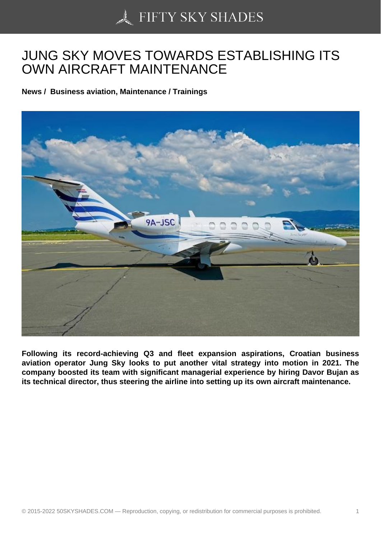## [JUNG SKY MOVES TO](https://50skyshades.com)WARDS ESTABLISHING ITS OWN AIRCRAFT MAINTENANCE

News / Business aviation, Maintenance / Trainings

Following its record-achieving Q3 and fleet expansion aspirations, Croatian business aviation operator Jung Sky looks to put another vital strategy into motion in 2021. The company boosted its team with significant managerial experience by hiring Davor Bujan as its technical director, thus steering the airline into setting up its own aircraft maintenance.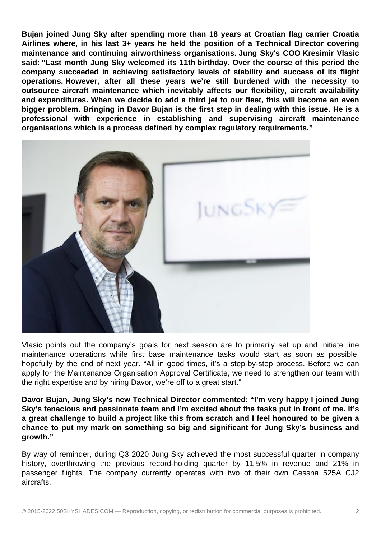**Bujan joined Jung Sky after spending more than 18 years at Croatian flag carrier Croatia Airlines where, in his last 3+ years he held the position of a Technical Director covering maintenance and continuing airworthiness organisations. Jung Sky's COO Kresimir Vlasic said: "Last month Jung Sky welcomed its 11th birthday. Over the course of this period the company succeeded in achieving satisfactory levels of stability and success of its flight operations. However, after all these years we're still burdened with the necessity to outsource aircraft maintenance which inevitably affects our flexibility, aircraft availability and expenditures. When we decide to add a third jet to our fleet, this will become an even bigger problem. Bringing in Davor Bujan is the first step in dealing with this issue. He is a professional with experience in establishing and supervising aircraft maintenance organisations which is a process defined by complex regulatory requirements."**



Vlasic points out the company's goals for next season are to primarily set up and initiate line maintenance operations while first base maintenance tasks would start as soon as possible, hopefully by the end of next year. "All in good times, it's a step-by-step process. Before we can apply for the Maintenance Organisation Approval Certificate, we need to strengthen our team with the right expertise and by hiring Davor, we're off to a great start."

**Davor Bujan, Jung Sky's new Technical Director commented: "I'm very happy I joined Jung Sky's tenacious and passionate team and I'm excited about the tasks put in front of me. It's a great challenge to build a project like this from scratch and I feel honoured to be given a chance to put my mark on something so big and significant for Jung Sky's business and growth."** 

By way of reminder, during Q3 2020 Jung Sky achieved the most successful quarter in company history, overthrowing the previous record-holding quarter by 11.5% in revenue and 21% in passenger flights. The company currently operates with two of their own Cessna 525A CJ2 aircrafts.